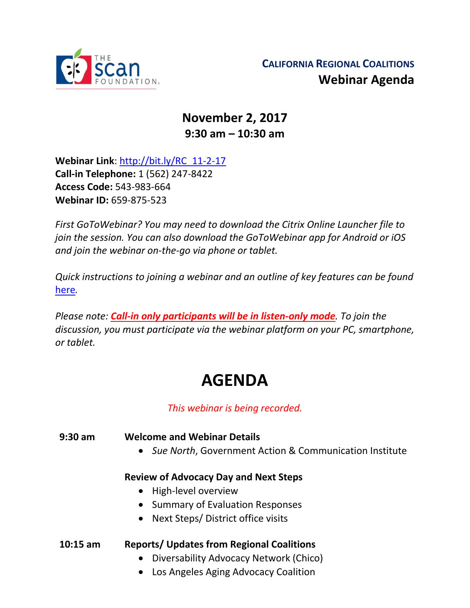

# **November 2, 2017 9:30 am – 10:30 am**

**Webinar Link**: [http://bit.ly/RC\\_11-2-17](http://bit.ly/RC_11-2-17) **Call-in Telephone:** 1 (562) 247-8422 **Access Code:** 543-983-664 **Webinar ID:** 659-875-523

*First GoToWebinar? You may need to download the Citrix Online Launcher file to join the session. You can also download the GoToWebinar app for Android or iOS and join the webinar on-the-go via phone or tablet.* 

*Quick instructions to joining a webinar and an outline of key features can be found*  [here](http://thescanfoundationsummit.homestead.com/GoToWebinar_Participant_Guide_3.pdf)*.*

*Please note: Call-in only participants will be in listen-only mode. To join the discussion, you must participate via the webinar platform on your PC, smartphone, or tablet.* 

# **AGENDA**

# *This webinar is being recorded.*

**9:30 am Welcome and Webinar Details** • *Sue North*, Government Action & Communication Institute

#### **Review of Advocacy Day and Next Steps**

- High-level overview
- Summary of Evaluation Responses
- Next Steps/ District office visits

# **10:15 am Reports/ Updates from Regional Coalitions**

- Diversability Advocacy Network (Chico)
- Los Angeles Aging Advocacy Coalition